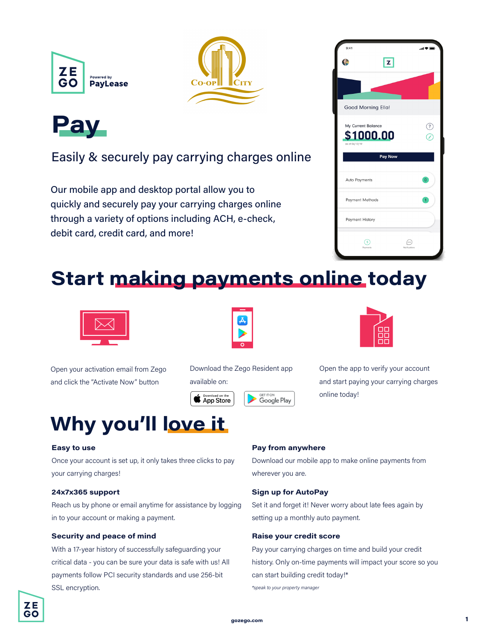





### Easily & securely pay carrying charges online

Our mobile app and desktop portal allow you to quickly and securely pay your carrying charges online through a variety of options including ACH, e-check, debit card, credit card, and more!



## **Start making payments online today**



Open your activation email from Zego and click the "Activate Now" button



Download the Zego Resident app available on:

**GET IT ON** 

Google Play





Open the app to verify your account and start paying your carrying charges online today!

# **Why you'll love it**

### **Easy to use**

Once your account is set up, it only takes three clicks to pay your carrying charges!

### **24x7x365 support**

Reach us by phone or email anytime for assistance by logging in to your account or making a payment.

### **Security and peace of mind**

With a 17-year history of successfully safeguarding your critical data - you can be sure your data is safe with us! All payments follow PCI security standards and use 256-bit SSL encryption.

### **Pay from anywhere**

Download our mobile app to make online payments from wherever you are.

#### **Sign up for AutoPay**

Set it and forget it! Never worry about late fees again by setting up a monthly auto payment.

#### **Raise your credit score**

Pay your carrying charges on time and build your credit history. Only on-time payments will impact your score so you can start building credit today!\*

*\*speak to your property manager*